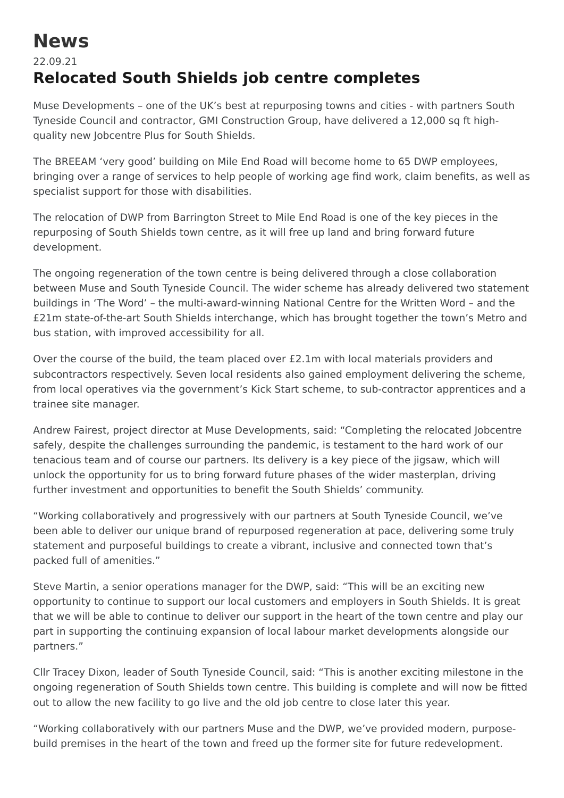## **News**

## 22.09.21 **Relocated South Shields job centre completes**

Muse Developments – one of the UK's best at repurposing towns and cities - with partners South Tyneside Council and contractor, GMI Construction Group, have delivered a 12,000 sq ft highquality new Jobcentre Plus for South Shields.

The BREEAM 'very good' building on Mile End Road will become home to 65 DWP employees, bringing over a range of services to help people of working age find work, claim benefits, as well as specialist support for those with disabilities.

The relocation of DWP from Barrington Street to Mile End Road is one of the key pieces in the repurposing of South Shields town centre, as it will free up land and bring forward future development.

The ongoing regeneration of the town centre is being delivered through a close collaboration between Muse and South Tyneside Council. The wider scheme has already delivered two statement buildings in 'The Word' – the multi-award-winning National Centre for the Written Word – and the £21m state-of-the-art South Shields interchange, which has brought together the town's Metro and bus station, with improved accessibility for all.

Over the course of the build, the team placed over £2.1m with local materials providers and subcontractors respectively. Seven local residents also gained employment delivering the scheme, from local operatives via the government's Kick Start scheme, to sub-contractor apprentices and a trainee site manager.

Andrew Fairest, project director at Muse Developments, said: "Completing the relocated Jobcentre safely, despite the challenges surrounding the pandemic, is testament to the hard work of our tenacious team and of course our partners. Its delivery is a key piece of the jigsaw, which will unlock the opportunity for us to bring forward future phases of the wider masterplan, driving further investment and opportunities to benefit the South Shields' community.

"Working collaboratively and progressively with our partners at South Tyneside Council, we've been able to deliver our unique brand of repurposed regeneration at pace, delivering some truly statement and purposeful buildings to create a vibrant, inclusive and connected town that's packed full of amenities."

Steve Martin, a senior operations manager for the DWP, said: "This will be an exciting new opportunity to continue to support our local customers and employers in South Shields. It is great that we will be able to continue to deliver our support in the heart of the town centre and play our part in supporting the continuing expansion of local labour market developments alongside our partners."

Cllr Tracey Dixon, leader of South Tyneside Council, said: "This is another exciting milestone in the ongoing regeneration of South Shields town centre. This building is complete and will now be fitted out to allow the new facility to go live and the old job centre to close later this year.

"Working collaboratively with our partners Muse and the DWP, we've provided modern, purposebuild premises in the heart of the town and freed up the former site for future redevelopment.